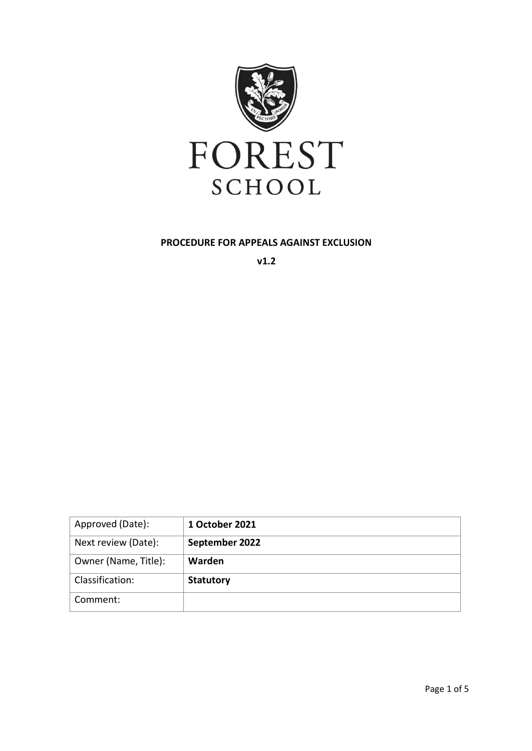

#### **PROCEDURE FOR APPEALS AGAINST EXCLUSION**

**v1.2**

| Approved (Date):     | 1 October 2021   |
|----------------------|------------------|
| Next review (Date):  | September 2022   |
| Owner (Name, Title): | Warden           |
| Classification:      | <b>Statutory</b> |
| Comment:             |                  |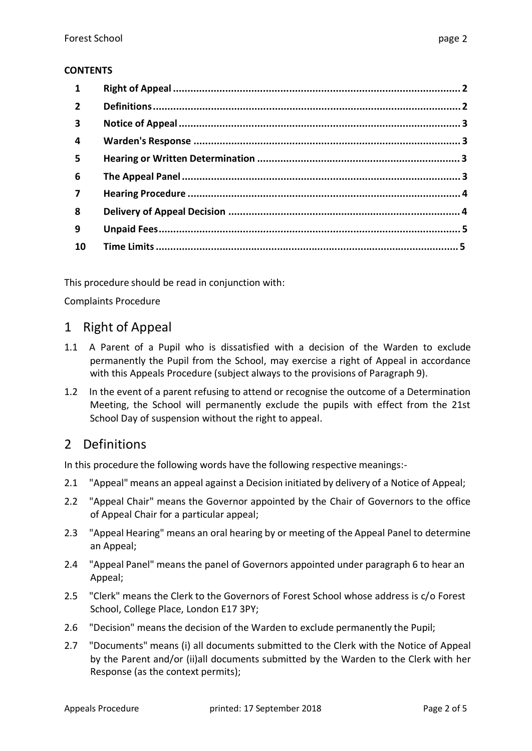#### **CONTENTS**

| $\mathbf{1}$            |  |
|-------------------------|--|
| $\overline{2}$          |  |
| $\overline{\mathbf{3}}$ |  |
| $\overline{4}$          |  |
| 5                       |  |
| 6                       |  |
| $\overline{\mathbf{z}}$ |  |
| 8                       |  |
| 9                       |  |
| 10                      |  |

This procedure should be read in conjunction with:

Complaints Procedure

### 1 Right of Appeal

- 1.1 A Parent of a Pupil who is dissatisfied with a decision of the Warden to exclude permanently the Pupil from the School, may exercise a right of Appeal in accordance with this Appeals Procedure (subject always to the provisions of Paragraph 9).
- 1.2 In the event of a parent refusing to attend or recognise the outcome of a Determination Meeting, the School will permanently exclude the pupils with effect from the 21st School Day of suspension without the right to appeal.

# 2 Definitions

In this procedure the following words have the following respective meanings:-

- 2.1 "Appeal" means an appeal against a Decision initiated by delivery of a Notice of Appeal;
- 2.2 "Appeal Chair" means the Governor appointed by the Chair of Governors to the office of Appeal Chair for a particular appeal;
- 2.3 "Appeal Hearing" means an oral hearing by or meeting of the Appeal Panel to determine an Appeal;
- 2.4 "Appeal Panel" means the panel of Governors appointed under paragraph 6 to hear an Appeal;
- 2.5 "Clerk" means the Clerk to the Governors of Forest School whose address is c/o Forest School, College Place, London E17 3PY;
- 2.6 "Decision" means the decision of the Warden to exclude permanently the Pupil;
- 2.7 "Documents" means (i) all documents submitted to the Clerk with the Notice of Appeal by the Parent and/or (ii)all documents submitted by the Warden to the Clerk with her Response (as the context permits);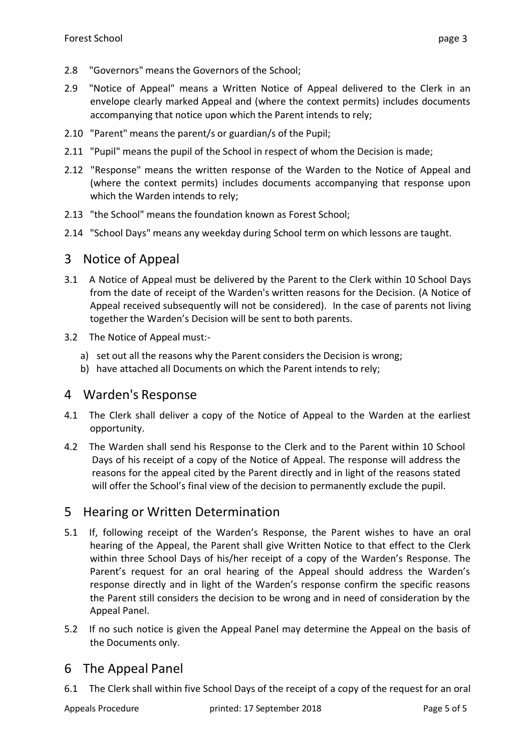- 2.8 "Governors" means the Governors of the School;
- 2.9 "Notice of Appeal" means a Written Notice of Appeal delivered to the Clerk in an envelope clearly marked Appeal and (where the context permits) includes documents accompanying that notice upon which the Parent intends to rely;
- 2.10 "Parent" means the parent/s or guardian/s of the Pupil;
- 2.11 "Pupil" means the pupil of the School in respect of whom the Decision is made;
- 2.12 "Response" means the written response of the Warden to the Notice of Appeal and (where the context permits) includes documents accompanying that response upon which the Warden intends to rely;
- 2.13 "the School" means the foundation known as Forest School;
- 2.14 "School Days" means any weekday during School term on which lessons are taught.

### 3 Notice of Appeal

- 3.1 A Notice of Appeal must be delivered by the Parent to the Clerk within 10 School Days from the date of receipt of the Warden's written reasons for the Decision. (A Notice of Appeal received subsequently will not be considered). In the case of parents not living together the Warden's Decision will be sent to both parents.
- 3.2 The Notice of Appeal must:
	- a) set out all the reasons why the Parent considers the Decision is wrong;
	- b) have attached all Documents on which the Parent intends to rely;

## 4 Warden's Response

- 4.1 The Clerk shall deliver a copy of the Notice of Appeal to the Warden at the earliest opportunity.
- 4.2 The Warden shall send his Response to the Clerk and to the Parent within 10 School Days of his receipt of a copy of the Notice of Appeal. The response will address the reasons for the appeal cited by the Parent directly and in light of the reasons stated will offer the School's final view of the decision to permanently exclude the pupil.

## 5 Hearing or Written Determination

- 5.1 If, following receipt of the Warden's Response, the Parent wishes to have an oral hearing of the Appeal, the Parent shall give Written Notice to that effect to the Clerk within three School Days of his/her receipt of a copy of the Warden's Response. The Parent's request for an oral hearing of the Appeal should address the Warden's response directly and in light of the Warden's response confirm the specific reasons the Parent still considers the decision to be wrong and in need of consideration by the Appeal Panel.
- 5.2 If no such notice is given the Appeal Panel may determine the Appeal on the basis of the Documents only.

## 6 The Appeal Panel

6.1 The Clerk shall within five School Days of the receipt of a copy of the request for an oral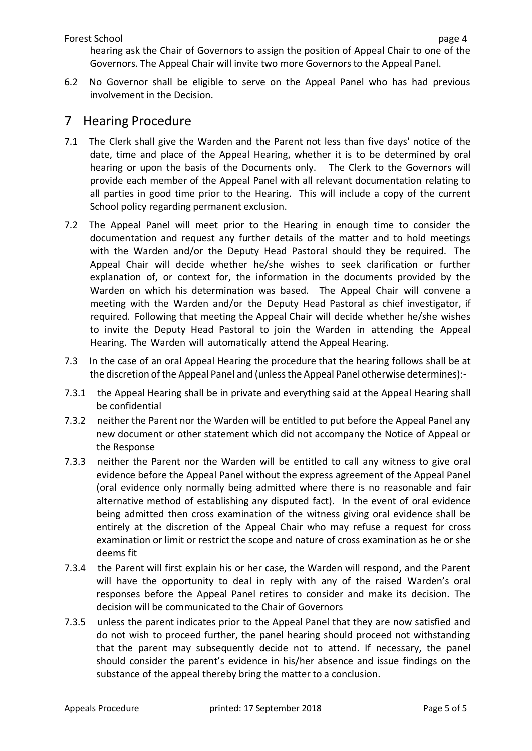hearing ask the Chair of Governors to assign the position of Appeal Chair to one of the Governors. The Appeal Chair will invite two more Governorsto the Appeal Panel.

6.2 No Governor shall be eligible to serve on the Appeal Panel who has had previous involvement in the Decision.

#### 7 Hearing Procedure

- 7.1 The Clerk shall give the Warden and the Parent not less than five days' notice of the date, time and place of the Appeal Hearing, whether it is to be determined by oral hearing or upon the basis of the Documents only. The Clerk to the Governors will provide each member of the Appeal Panel with all relevant documentation relating to all parties in good time prior to the Hearing. This will include a copy of the current School policy regarding permanent exclusion.
- 7.2 The Appeal Panel will meet prior to the Hearing in enough time to consider the documentation and request any further details of the matter and to hold meetings with the Warden and/or the Deputy Head Pastoral should they be required. The Appeal Chair will decide whether he/she wishes to seek clarification or further explanation of, or context for, the information in the documents provided by the Warden on which his determination was based. The Appeal Chair will convene a meeting with the Warden and/or the Deputy Head Pastoral as chief investigator, if required. Following that meeting the Appeal Chair will decide whether he/she wishes to invite the Deputy Head Pastoral to join the Warden in attending the Appeal Hearing. The Warden will automatically attend the Appeal Hearing.
- 7.3 In the case of an oral Appeal Hearing the procedure that the hearing follows shall be at the discretion of the Appeal Panel and (unlessthe Appeal Panel otherwise determines):-
- 7.3.1 the Appeal Hearing shall be in private and everything said at the Appeal Hearing shall be confidential
- 7.3.2 neither the Parent nor the Warden will be entitled to put before the Appeal Panel any new document or other statement which did not accompany the Notice of Appeal or the Response
- 7.3.3 neither the Parent nor the Warden will be entitled to call any witness to give oral evidence before the Appeal Panel without the express agreement of the Appeal Panel (oral evidence only normally being admitted where there is no reasonable and fair alternative method of establishing any disputed fact). In the event of oral evidence being admitted then cross examination of the witness giving oral evidence shall be entirely at the discretion of the Appeal Chair who may refuse a request for cross examination or limit or restrict the scope and nature of cross examination as he or she deems fit
- 7.3.4 the Parent will first explain his or her case, the Warden will respond, and the Parent will have the opportunity to deal in reply with any of the raised Warden's oral responses before the Appeal Panel retires to consider and make its decision. The decision will be communicated to the Chair of Governors
- 7.3.5 unless the parent indicates prior to the Appeal Panel that they are now satisfied and do not wish to proceed further, the panel hearing should proceed not withstanding that the parent may subsequently decide not to attend. If necessary, the panel should consider the parent's evidence in his/her absence and issue findings on the substance of the appeal thereby bring the matter to a conclusion.